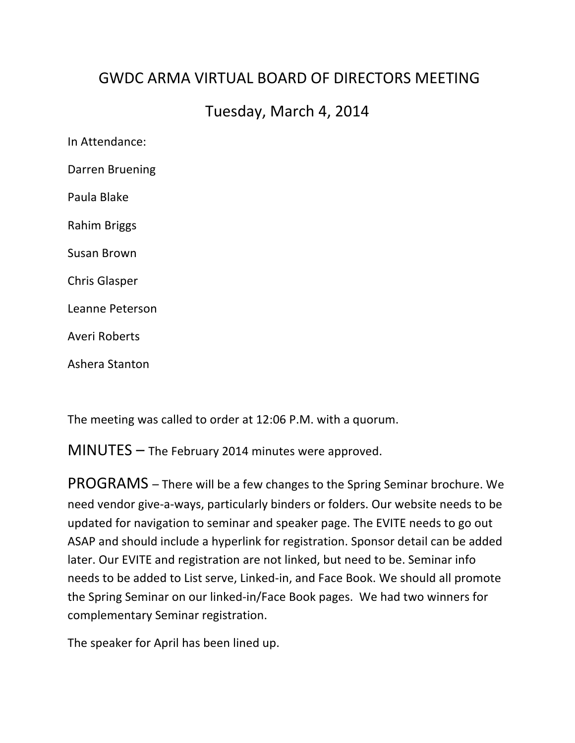## GWDC ARMA VIRTUAL BOARD OF DIRFCTORS MFFTING

## Tuesday, March 4, 2014

In Attendance: Darren Bruening Paula Blake Rahim Briggs Susan Brown Chris Glasper Leanne Peterson Averi Roberts Ashera Stanton

The meeting was called to order at 12:06 P.M. with a quorum.

 $MINUTES -$  The February 2014 minutes were approved.

PROGRAMS – There will be a few changes to the Spring Seminar brochure. We need vendor give-a-ways, particularly binders or folders. Our website needs to be updated for navigation to seminar and speaker page. The EVITE needs to go out ASAP and should include a hyperlink for registration. Sponsor detail can be added later. Our EVITE and registration are not linked, but need to be. Seminar info needs to be added to List serve, Linked-in, and Face Book. We should all promote the Spring Seminar on our linked-in/Face Book pages. We had two winners for complementary Seminar registration.

The speaker for April has been lined up.